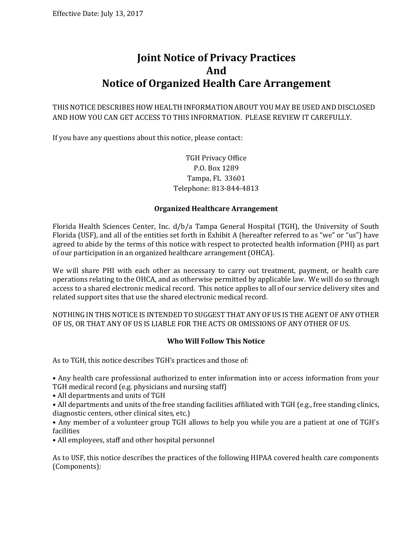# **Joint Notice of Privacy Practices And Notice of Organized Health Care Arrangement**

THIS NOTICE DESCRIBES HOW HEALTH INFORMATION ABOUT YOU MAY BE USED AND DISCLOSED AND HOW YOU CAN GET ACCESS TO THIS INFORMATION. PLEASE REVIEW IT CAREFULLY.

If you have any questions about this notice, please contact:

# TGH Privacy Office P.O. Box 1289 Tampa, FL 33601 Telephone: 813-844-4813

## **Organized Healthcare Arrangement**

Florida Health Sciences Center, Inc. d/b/a Tampa General Hospital (TGH), the University of South Florida (USF), and all of the entities set forth in Exhibit A (hereafter referred to as "we" or "us") have agreed to abide by the terms of this notice with respect to protected health information (PHI) as part of our participation in an organized healthcare arrangement (OHCA).

We will share PHI with each other as necessary to carry out treatment, payment, or health care operations relating to the OHCA, and as otherwise permitted by applicable law. We will do so through access to a shared electronic medical record. This notice applies to all of our service delivery sites and related support sites that use the shared electronic medical record.

NOTHING IN THIS NOTICE IS INTENDED TO SUGGEST THAT ANY OF US IS THE AGENT OF ANY OTHER OF US, OR THAT ANY OF US IS LIABLE FOR THE ACTS OR OMISSIONS OF ANY OTHER OF US.

## **Who Will Follow This Notice**

As to TGH, this notice describes TGH's practices and those of:

• Any health care professional authorized to enter information into or access information from your TGH medical record (e.g. physicians and nursing staff)

• All departments and units of TGH

• All departments and units of the free standing facilities affiliated with TGH (e.g., free standing clinics, diagnostic centers, other clinical sites, etc.)

• Any member of a volunteer group TGH allows to help you while you are a patient at one of TGH's facilities

• All employees, staff and other hospital personnel

As to USF, this notice describes the practices of the following HIPAA covered health care components (Components):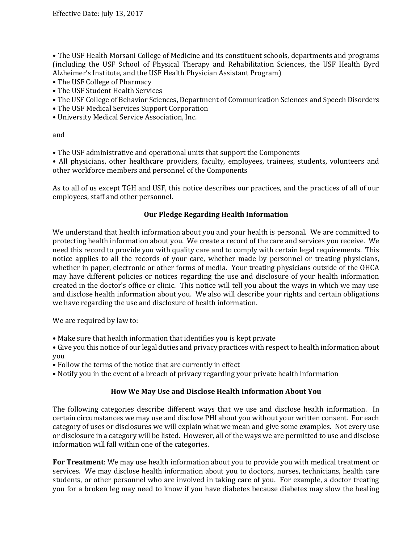• The USF Health Morsani College of Medicine and its constituent schools, departments and programs (including the USF School of Physical Therapy and Rehabilitation Sciences, the USF Health Byrd Alzheimer's Institute, and the USF Health Physician Assistant Program)

- The USF College of Pharmacy
- The USF Student Health Services
- The USF College of Behavior Sciences, Department of Communication Sciences and Speech Disorders
- The USF Medical Services Support Corporation
- University Medical Service Association, Inc.

and

• The USF administrative and operational units that support the Components

• All physicians, other healthcare providers, faculty, employees, trainees, students, volunteers and other workforce members and personnel of the Components

As to all of us except TGH and USF, this notice describes our practices, and the practices of all of our employees, staff and other personnel.

#### **Our Pledge Regarding Health Information**

We understand that health information about you and your health is personal. We are committed to protecting health information about you. We create a record of the care and services you receive. We need this record to provide you with quality care and to comply with certain legal requirements. This notice applies to all the records of your care, whether made by personnel or treating physicians, whether in paper, electronic or other forms of media. Your treating physicians outside of the OHCA may have different policies or notices regarding the use and disclosure of your health information created in the doctor's office or clinic. This notice will tell you about the ways in which we may use and disclose health information about you. We also will describe your rights and certain obligations we have regarding the use and disclosure of health information.

We are required by law to:

• Make sure that health information that identifies you is kept private

• Give you this notice of our legal duties and privacy practices with respect to health information about you

- Follow the terms of the notice that are currently in effect
- Notify you in the event of a breach of privacy regarding your private health information

#### **How We May Use and Disclose Health Information About You**

The following categories describe different ways that we use and disclose health information. In certain circumstances we may use and disclose PHI about you without your written consent. For each category of uses or disclosures we will explain what we mean and give some examples. Not every use or disclosure in a category will be listed. However, all of the ways we are permitted to use and disclose information will fall within one of the categories.

**For Treatment**: We may use health information about you to provide you with medical treatment or services. We may disclose health information about you to doctors, nurses, technicians, health care students, or other personnel who are involved in taking care of you. For example, a doctor treating you for a broken leg may need to know if you have diabetes because diabetes may slow the healing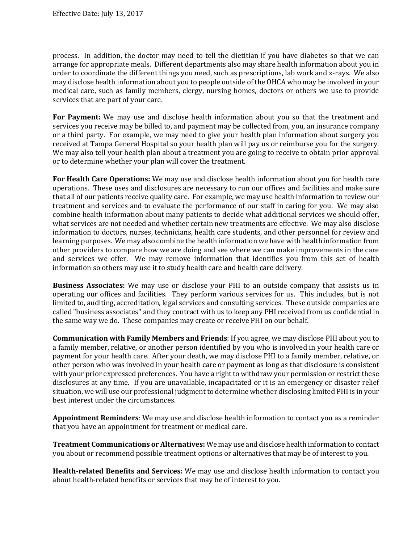process. In addition, the doctor may need to tell the dietitian if you have diabetes so that we can arrange for appropriate meals. Different departments also may share health information about you in order to coordinate the different things you need, such as prescriptions, lab work and x-rays. We also may disclose health information about you to people outside of the OHCA who may be involved in your medical care, such as family members, clergy, nursing homes, doctors or others we use to provide services that are part of your care.

**For Payment:** We may use and disclose health information about you so that the treatment and services you receive may be billed to, and payment may be collected from, you, an insurance company or a third party. For example, we may need to give your health plan information about surgery you received at Tampa General Hospital so your health plan will pay us or reimburse you for the surgery. We may also tell your health plan about a treatment you are going to receive to obtain prior approval or to determine whether your plan will cover the treatment.

**For Health Care Operations:** We may use and disclose health information about you for health care operations. These uses and disclosures are necessary to run our offices and facilities and make sure that all of our patients receive quality care. For example, we may use health information to review our treatment and services and to evaluate the performance of our staff in caring for you. We may also combine health information about many patients to decide what additional services we should offer, what services are not needed and whether certain new treatments are effective. We may also disclose information to doctors, nurses, technicians, health care students, and other personnel for review and learning purposes. We may also combine the health information we have with health information from other providers to compare how we are doing and see where we can make improvements in the care and services we offer. We may remove information that identifies you from this set of health information so others may use it to study health care and health care delivery.

**Business Associates:** We may use or disclose your PHI to an outside company that assists us in operating our offices and facilities. They perform various services for us. This includes, but is not limited to, auditing, accreditation, legal services and consulting services. These outside companies are called "business associates" and they contract with us to keep any PHI received from us confidential in the same way we do. These companies may create or receive PHI on our behalf.

**Communication with Family Members and Friends**: If you agree, we may disclose PHI about you to a family member, relative, or another person identified by you who is involved in your health care or payment for your health care. After your death, we may disclose PHI to a family member, relative, or other person who was involved in your health care or payment as long as that disclosure is consistent with your prior expressed preferences. You have a right to withdraw your permission or restrict these disclosures at any time. If you are unavailable, incapacitated or it is an emergency or disaster relief situation, we will use our professional judgment to determine whether disclosing limited PHI is in your best interest under the circumstances.

**Appointment Reminders**: We may use and disclose health information to contact you as a reminder that you have an appointment for treatment or medical care.

**Treatment Communications or Alternatives:** We may use and disclose health information to contact you about or recommend possible treatment options or alternatives that may be of interest to you.

**Health-related Benefits and Services:** We may use and disclose health information to contact you about health-related benefits or services that may be of interest to you.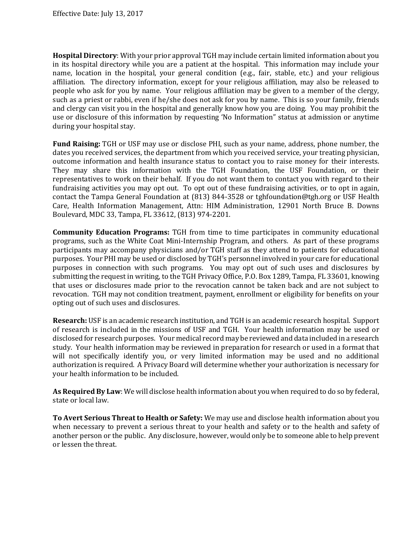**Hospital Directory**: With your prior approval TGH may include certain limited information about you in its hospital directory while you are a patient at the hospital. This information may include your name, location in the hospital, your general condition (e.g., fair, stable, etc.) and your religious affiliation. The directory information, except for your religious affiliation, may also be released to people who ask for you by name. Your religious affiliation may be given to a member of the clergy, such as a priest or rabbi, even if he/she does not ask for you by name. This is so your family, friends and clergy can visit you in the hospital and generally know how you are doing. You may prohibit the use or disclosure of this information by requesting 'No Information" status at admission or anytime during your hospital stay.

**Fund Raising:** TGH or USF may use or disclose PHI, such as your name, address, phone number, the dates you received services, the department from which you received service, your treating physician, outcome information and health insurance status to contact you to raise money for their interests. They may share this information with the TGH Foundation, the USF Foundation, or their representatives to work on their behalf. If you do not want them to contact you with regard to their fundraising activities you may opt out. To opt out of these fundraising activities, or to opt in again, contact the Tampa General Foundation at (813) 844-3528 or tghfoundation@tgh.org or USF Health Care, Health Information Management, Attn: HIM Administration, 12901 North Bruce B. Downs Boulevard, MDC 33, Tampa, FL 33612, (813) 974-2201.

**Community Education Programs:** TGH from time to time participates in community educational programs, such as the White Coat Mini-Internship Program, and others. As part of these programs participants may accompany physicians and/or TGH staff as they attend to patients for educational purposes. Your PHI may be used or disclosed by TGH's personnel involved in your care for educational purposes in connection with such programs. You may opt out of such uses and disclosures by submitting the request in writing, to the TGH Privacy Office, P.O. Box 1289, Tampa, FL 33601, knowing that uses or disclosures made prior to the revocation cannot be taken back and are not subject to revocation. TGH may not condition treatment, payment, enrollment or eligibility for benefits on your opting out of such uses and disclosures.

**Research:** USF is an academic research institution, and TGH is an academic research hospital. Support of research is included in the missions of USF and TGH. Your health information may be used or disclosed for research purposes. Your medical record may be reviewed and data included in a research study. Your health information may be reviewed in preparation for research or used in a format that will not specifically identify you, or very limited information may be used and no additional authorization is required. A Privacy Board will determine whether your authorization is necessary for your health information to be included.

**As Required By Law**: We will disclose health information about you when required to do so by federal, state or local law.

**To Avert Serious Threat to Health or Safety:** We may use and disclose health information about you when necessary to prevent a serious threat to your health and safety or to the health and safety of another person or the public. Any disclosure, however, would only be to someone able to help prevent or lessen the threat.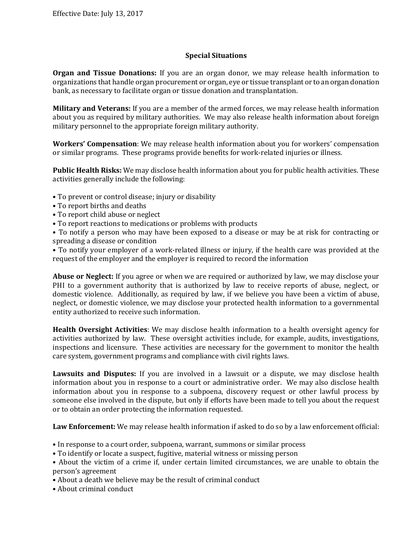## **Special Situations**

**Organ and Tissue Donations:** If you are an organ donor, we may release health information to organizations that handle organ procurement or organ, eye or tissue transplant or to an organ donation bank, as necessary to facilitate organ or tissue donation and transplantation.

**Military and Veterans:** If you are a member of the armed forces, we may release health information about you as required by military authorities. We may also release health information about foreign military personnel to the appropriate foreign military authority.

**Workers' Compensation**: We may release health information about you for workers' compensation or similar programs. These programs provide benefits for work-related injuries or illness.

**Public Health Risks:** We may disclose health information about you for public health activities. These activities generally include the following:

- To prevent or control disease; injury or disability
- To report births and deaths
- To report child abuse or neglect
- To report reactions to medications or problems with products

• To notify a person who may have been exposed to a disease or may be at risk for contracting or spreading a disease or condition

• To notify your employer of a work-related illness or injury, if the health care was provided at the request of the employer and the employer is required to record the information

**Abuse or Neglect:** If you agree or when we are required or authorized by law, we may disclose your PHI to a government authority that is authorized by law to receive reports of abuse, neglect, or domestic violence. Additionally, as required by law, if we believe you have been a victim of abuse, neglect, or domestic violence, we may disclose your protected health information to a governmental entity authorized to receive such information.

**Health Oversight Activities**: We may disclose health information to a health oversight agency for activities authorized by law. These oversight activities include, for example, audits, investigations, inspections and licensure. These activities are necessary for the government to monitor the health care system, government programs and compliance with civil rights laws.

**Lawsuits and Disputes:** If you are involved in a lawsuit or a dispute, we may disclose health information about you in response to a court or administrative order. We may also disclose health information about you in response to a subpoena, discovery request or other lawful process by someone else involved in the dispute, but only if efforts have been made to tell you about the request or to obtain an order protecting the information requested.

**Law Enforcement:** We may release health information if asked to do so by a law enforcement official:

- In response to a court order, subpoena, warrant, summons or similar process
- To identify or locate a suspect, fugitive, material witness or missing person
- About the victim of a crime if, under certain limited circumstances, we are unable to obtain the person's agreement
- About a death we believe may be the result of criminal conduct
- About criminal conduct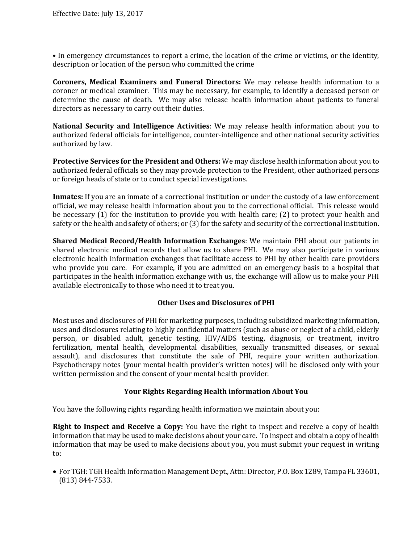• In emergency circumstances to report a crime, the location of the crime or victims, or the identity, description or location of the person who committed the crime

**Coroners, Medical Examiners and Funeral Directors:** We may release health information to a coroner or medical examiner. This may be necessary, for example, to identify a deceased person or determine the cause of death. We may also release health information about patients to funeral directors as necessary to carry out their duties.

**National Security and Intelligence Activities**: We may release health information about you to authorized federal officials for intelligence, counter-intelligence and other national security activities authorized by law.

**Protective Services for the President and Others:** We may disclose health information about you to authorized federal officials so they may provide protection to the President, other authorized persons or foreign heads of state or to conduct special investigations.

**Inmates:** If you are an inmate of a correctional institution or under the custody of a law enforcement official, we may release health information about you to the correctional official. This release would be necessary (1) for the institution to provide you with health care; (2) to protect your health and safety or the health and safety of others; or (3) for the safety and security of the correctional institution.

**Shared Medical Record/Health Information Exchanges**: We maintain PHI about our patients in shared electronic medical records that allow us to share PHI. We may also participate in various electronic health information exchanges that facilitate access to PHI by other health care providers who provide you care. For example, if you are admitted on an emergency basis to a hospital that participates in the health information exchange with us, the exchange will allow us to make your PHI available electronically to those who need it to treat you.

## **Other Uses and Disclosures of PHI**

Most uses and disclosures of PHI for marketing purposes, including subsidized marketing information, uses and disclosures relating to highly confidential matters (such as abuse or neglect of a child, elderly person, or disabled adult, genetic testing, HIV/AIDS testing, diagnosis, or treatment, invitro fertilization, mental health, developmental disabilities, sexually transmitted diseases, or sexual assault), and disclosures that constitute the sale of PHI, require your written authorization. Psychotherapy notes (your mental health provider's written notes) will be disclosed only with your written permission and the consent of your mental health provider.

#### **Your Rights Regarding Health information About You**

You have the following rights regarding health information we maintain about you:

**Right to Inspect and Receive a Copy:** You have the right to inspect and receive a copy of health information that may be used to make decisions about your care. To inspect and obtain a copy of health information that may be used to make decisions about you, you must submit your request in writing to:

 For TGH: TGH Health Information Management Dept., Attn: Director, P.O. Box 1289, Tampa FL 33601, (813) 844-7533.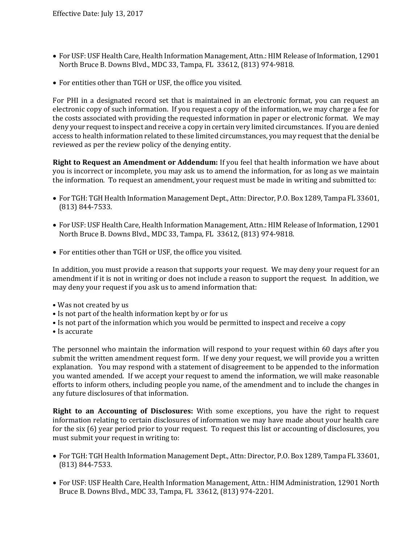- For USF: USF Health Care, Health Information Management, Attn.: HIM Release of Information, 12901 North Bruce B. Downs Blvd., MDC 33, Tampa, FL 33612, (813) 974-9818.
- For entities other than TGH or USF, the office you visited.

For PHI in a designated record set that is maintained in an electronic format, you can request an electronic copy of such information. If you request a copy of the information, we may charge a fee for the costs associated with providing the requested information in paper or electronic format. We may deny your request to inspect and receive a copy in certain very limited circumstances. If you are denied access to health information related to these limited circumstances, you may request that the denial be reviewed as per the review policy of the denying entity.

**Right to Request an Amendment or Addendum:** If you feel that health information we have about you is incorrect or incomplete, you may ask us to amend the information, for as long as we maintain the information. To request an amendment, your request must be made in writing and submitted to:

- For TGH: TGH Health Information Management Dept., Attn: Director, P.O. Box 1289, Tampa FL 33601, (813) 844-7533.
- For USF: USF Health Care, Health Information Management, Attn.: HIM Release of Information, 12901 North Bruce B. Downs Blvd., MDC 33, Tampa, FL 33612, (813) 974-9818.
- For entities other than TGH or USF, the office you visited.

In addition, you must provide a reason that supports your request. We may deny your request for an amendment if it is not in writing or does not include a reason to support the request. In addition, we may deny your request if you ask us to amend information that:

- Was not created by us
- Is not part of the health information kept by or for us
- Is not part of the information which you would be permitted to inspect and receive a copy
- Is accurate

The personnel who maintain the information will respond to your request within 60 days after you submit the written amendment request form. If we deny your request, we will provide you a written explanation. You may respond with a statement of disagreement to be appended to the information you wanted amended. If we accept your request to amend the information, we will make reasonable efforts to inform others, including people you name, of the amendment and to include the changes in any future disclosures of that information.

**Right to an Accounting of Disclosures:** With some exceptions, you have the right to request information relating to certain disclosures of information we may have made about your health care for the six (6) year period prior to your request. To request this list or accounting of disclosures, you must submit your request in writing to:

- For TGH: TGH Health Information Management Dept., Attn: Director, P.O. Box 1289, Tampa FL 33601, (813) 844-7533.
- For USF: USF Health Care, Health Information Management, Attn.: HIM Administration, 12901 North Bruce B. Downs Blvd., MDC 33, Tampa, FL 33612, (813) 974-2201.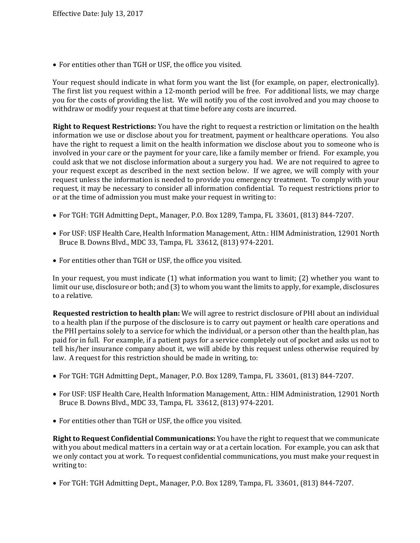For entities other than TGH or USF, the office you visited.

Your request should indicate in what form you want the list (for example, on paper, electronically). The first list you request within a 12-month period will be free. For additional lists, we may charge you for the costs of providing the list. We will notify you of the cost involved and you may choose to withdraw or modify your request at that time before any costs are incurred.

**Right to Request Restrictions:** You have the right to request a restriction or limitation on the health information we use or disclose about you for treatment, payment or healthcare operations. You also have the right to request a limit on the health information we disclose about you to someone who is involved in your care or the payment for your care, like a family member or friend. For example, you could ask that we not disclose information about a surgery you had. We are not required to agree to your request except as described in the next section below. If we agree, we will comply with your request unless the information is needed to provide you emergency treatment. To comply with your request, it may be necessary to consider all information confidential. To request restrictions prior to or at the time of admission you must make your request in writing to:

- For TGH: TGH Admitting Dept., Manager, P.O. Box 1289, Tampa, FL 33601, (813) 844-7207.
- For USF: USF Health Care, Health Information Management, Attn.: HIM Administration, 12901 North Bruce B. Downs Blvd., MDC 33, Tampa, FL 33612, (813) 974-2201.
- For entities other than TGH or USF, the office you visited.

In your request, you must indicate (1) what information you want to limit; (2) whether you want to limit our use, disclosure or both; and (3) to whom you want the limits to apply, for example, disclosures to a relative.

**Requested restriction to health plan:** We will agree to restrict disclosure of PHI about an individual to a health plan if the purpose of the disclosure is to carry out payment or health care operations and the PHI pertains solely to a service for which the individual, or a person other than the health plan, has paid for in full. For example, if a patient pays for a service completely out of pocket and asks us not to tell his/her insurance company about it, we will abide by this request unless otherwise required by law. A request for this restriction should be made in writing, to:

- For TGH: TGH Admitting Dept., Manager, P.O. Box 1289, Tampa, FL 33601, (813) 844-7207.
- For USF: USF Health Care, Health Information Management, Attn.: HIM Administration, 12901 North Bruce B. Downs Blvd., MDC 33, Tampa, FL 33612, (813) 974-2201.
- For entities other than TGH or USF, the office you visited.

**Right to Request Confidential Communications:** You have the right to request that we communicate with you about medical matters in a certain way or at a certain location. For example, you can ask that we only contact you at work. To request confidential communications, you must make your request in writing to:

For TGH: TGH Admitting Dept., Manager, P.O. Box 1289, Tampa, FL 33601, (813) 844-7207.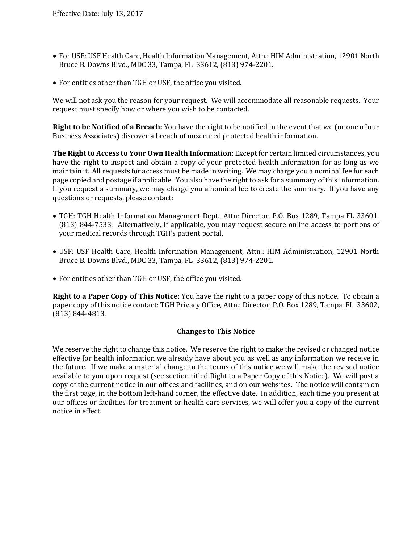- For USF: USF Health Care, Health Information Management, Attn.: HIM Administration, 12901 North Bruce B. Downs Blvd., MDC 33, Tampa, FL 33612, (813) 974-2201.
- For entities other than TGH or USF, the office you visited.

We will not ask you the reason for your request. We will accommodate all reasonable requests. Your request must specify how or where you wish to be contacted.

**Right to be Notified of a Breach:** You have the right to be notified in the event that we (or one of our Business Associates) discover a breach of unsecured protected health information.

**The Right to Access to Your Own Health Information:** Except for certain limited circumstances, you have the right to inspect and obtain a copy of your protected health information for as long as we maintain it. All requests for access must be made in writing. We may charge you a nominal fee for each page copied and postage if applicable. You also have the right to ask for a summary of this information. If you request a summary, we may charge you a nominal fee to create the summary. If you have any questions or requests, please contact:

- TGH: TGH Health Information Management Dept., Attn: Director, P.O. Box 1289, Tampa FL 33601, (813) 844-7533. Alternatively, if applicable, you may request secure online access to portions of your medical records through TGH's patient portal.
- USF: USF Health Care, Health Information Management, Attn.: HIM Administration, 12901 North Bruce B. Downs Blvd., MDC 33, Tampa, FL 33612, (813) 974-2201.
- For entities other than TGH or USF, the office you visited.

**Right to a Paper Copy of This Notice:** You have the right to a paper copy of this notice. To obtain a paper copy of this notice contact: TGH Privacy Office, Attn.: Director, P.O. Box 1289, Tampa, FL 33602, (813) 844-4813.

#### **Changes to This Notice**

We reserve the right to change this notice. We reserve the right to make the revised or changed notice effective for health information we already have about you as well as any information we receive in the future. If we make a material change to the terms of this notice we will make the revised notice available to you upon request (see section titled Right to a Paper Copy of this Notice). We will post a copy of the current notice in our offices and facilities, and on our websites. The notice will contain on the first page, in the bottom left-hand corner, the effective date. In addition, each time you present at our offices or facilities for treatment or health care services, we will offer you a copy of the current notice in effect.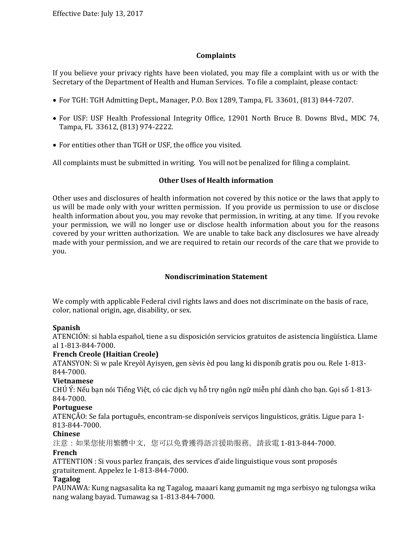## **Complaints**

If you believe your privacy rights have been violated, you may file a complaint with us or with the Secretary of the Department of Health and Human Services. To file a complaint, please contact:

- For TGH: TGH Admitting Dept., Manager, P.O. Box 1289, Tampa, FL 33601, (813) 844-7207.
- For USF: USF Health Professional Integrity Office, 12901 North Bruce B. Downs Blvd., MDC 74, Tampa, FL 33612, (813) 974-2222.
- For entities other than TGH or USF, the office you visited.

All complaints must be submitted in writing. You will not be penalized for filing a complaint.

#### **Other Uses of Health information**

Other uses and disclosures of health information not covered by this notice or the laws that apply to us will be made only with your written permission. If you provide us permission to use or disclose health information about you, you may revoke that permission, in writing, at any time. If you revoke your permission, we will no longer use or disclose health information about you for the reasons covered by your written authorization. We are unable to take back any disclosures we have already made with your permission, and we are required to retain our records of the care that we provide to you.

## **Nondiscrimination Statement**

We comply with applicable Federal civil rights laws and does not discriminate on the basis of race, color, national origin, age, disability, or sex.

#### **Spanish**

ATENCIÓN: si habla español, tiene a su disposición servicios gratuitos de asistencia lingüística. Llame al 1-813-844-7000.

#### **French Creole (Haitian Creole)**

ATANSYON: Si w pale Kreyòl Ayisyen, gen sèvis èd pou lang ki disponib gratis pou ou. Rele 1-813- 844-7000.

#### **Vietnamese**

CHÚ Ý: Nếu bạn nói Tiếng Việt, có các dịch vụ hỗ trợ ngôn ngữ miễn phí dành cho bạn. Gọi số 1-813- 844-7000.

#### **Portuguese**

ATENÇÃO: Se fala português, encontram-se disponíveis serviços linguísticos, grátis. Ligue para 1- 813-844-7000.

#### **Chinese**

注意:如果您使用繁體中文,您可以免費獲得語言援助服務。請致電 1-813-844-7000.

#### **French**

ATTENTION : Si vous parlez français, des services d'aide linguistique vous sont proposés gratuitement. Appelez le 1-813-844-7000.

#### **Tagalog**

PAUNAWA: Kung nagsasalita ka ng Tagalog, maaari kang gumamit ng mga serbisyo ng tulongsa wika nang walang bayad. Tumawag sa 1-813-844-7000.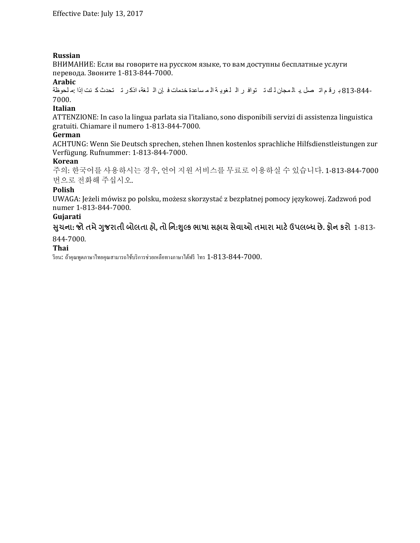## **Russian**

ВНИМАНИЕ: Если вы говорите на русском языке, то вам доступны бесплатные услуги перевода. Звоните 1-813-844-7000.

#### **Arabic**

813-844- ب رق م ات صل .ب ال مجان ل ك ت تواف ر ال لغوی ة ال م ساعدة خدمات ف إن ال لغة، اذك ر ت تحدث ك نت إذا :م لحوظة 7000.

## **Italian**

ATTENZIONE: In caso la lingua parlata sia l'italiano, sono disponibili servizi di assistenza linguistica gratuiti. Chiamare il numero 1-813-844-7000.

#### **German**

ACHTUNG: Wenn Sie Deutsch sprechen, stehen Ihnen kostenlos sprachliche Hilfsdienstleistungen zur Verfügung. Rufnummer: 1-813-844-7000.

#### **Korean**

주의: 한국어를 사용하시는 경우, 언어 지원 서비스를 무료로 이용하실 수 있습니다. 1-813-844-7000 번으로 전화해 주십시오.

## **Polish**

UWAGA: Jeżeli mówisz po polsku, możesz skorzystać z bezpłatnej pomocy językowej. Zadzwoń pod numer 1-813-844-7000.

#### **Gujarati**

સુચના: જો તમે ગુજરાતી બોલતા હો, તો નિ:શુલ્ક ભાષા સહાય સેવાઓ તમારા માટે ઉપલબ્ધ છે. ફોન કરો 1-813-

## 844-7000.

#### **Thai**

รียน: ถ้าคุณพูดภาษาไทยคุณสามารถใช้บริการช่วยเหลือทางภาษาได้ฟรี โทร  $1$ - $813$ - $844$ - $7000$ .